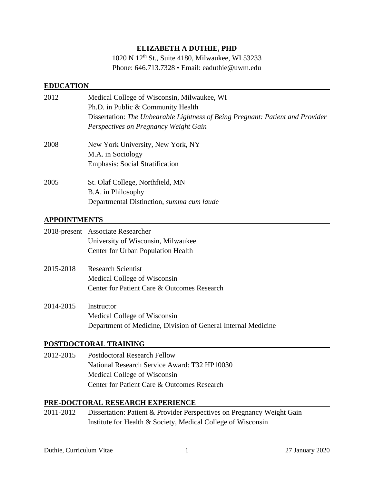## **ELIZABETH A DUTHIE, PHD**

1020 N 12th St., Suite 4180, Milwaukee, WI 53233 Phone: 646.713.7328 • Email: eaduthie@uwm.edu

### **EDUCATION**

| 2012 | Medical College of Wisconsin, Milwaukee, WI<br>Ph.D. in Public & Community Health<br>Dissertation: The Unbearable Lightness of Being Pregnant: Patient and Provider<br>Perspectives on Pregnancy Weight Gain |
|------|--------------------------------------------------------------------------------------------------------------------------------------------------------------------------------------------------------------|
| 2008 | New York University, New York, NY<br>M.A. in Sociology<br><b>Emphasis: Social Stratification</b>                                                                                                             |
| 2005 | St. Olaf College, Northfield, MN<br>B.A. in Philosophy<br>Departmental Distinction, summa cum laude                                                                                                          |

## **APPOINTMENTS**

|           | 2018-present Associate Researcher                             |
|-----------|---------------------------------------------------------------|
|           | University of Wisconsin, Milwaukee                            |
|           | Center for Urban Population Health                            |
| 2015-2018 | <b>Research Scientist</b>                                     |
|           | Medical College of Wisconsin                                  |
|           | Center for Patient Care & Outcomes Research                   |
| 2014-2015 | Instructor                                                    |
|           | Medical College of Wisconsin                                  |
|           | Department of Medicine, Division of General Internal Medicine |

### **POSTDOCTORAL TRAINING**

2012-2015 Postdoctoral Research Fellow National Research Service Award: T32 HP10030 Medical College of Wisconsin Center for Patient Care & Outcomes Research

### **PRE-DOCTORAL RESEARCH EXPERIENCE**

2011-2012 Dissertation: Patient & Provider Perspectives on Pregnancy Weight Gain Institute for Health & Society, Medical College of Wisconsin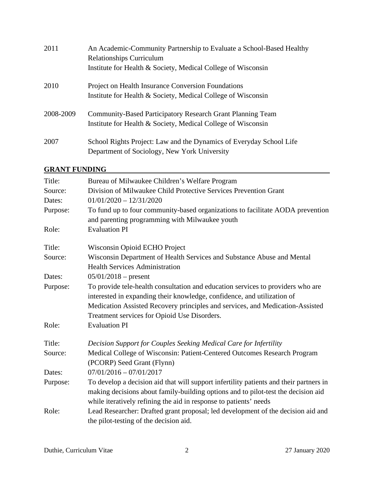| 2011      | An Academic-Community Partnership to Evaluate a School-Based Healthy<br><b>Relationships Curriculum</b> |
|-----------|---------------------------------------------------------------------------------------------------------|
|           | Institute for Health & Society, Medical College of Wisconsin                                            |
| 2010      | <b>Project on Health Insurance Conversion Foundations</b>                                               |
|           | Institute for Health & Society, Medical College of Wisconsin                                            |
| 2008-2009 | <b>Community-Based Participatory Research Grant Planning Team</b>                                       |
|           | Institute for Health & Society, Medical College of Wisconsin                                            |
| 2007      | School Rights Project: Law and the Dynamics of Everyday School Life                                     |
|           | Department of Sociology, New York University                                                            |

# **GRANT FUNDING**

| Title:   | Bureau of Milwaukee Children's Welfare Program                                                                                                                              |
|----------|-----------------------------------------------------------------------------------------------------------------------------------------------------------------------------|
| Source:  | Division of Milwaukee Child Protective Services Prevention Grant                                                                                                            |
| Dates:   | $01/01/2020 - 12/31/2020$                                                                                                                                                   |
| Purpose: | To fund up to four community-based organizations to facilitate AODA prevention<br>and parenting programming with Milwaukee youth                                            |
| Role:    | <b>Evaluation PI</b>                                                                                                                                                        |
| Title:   | Wisconsin Opioid ECHO Project                                                                                                                                               |
| Source:  | Wisconsin Department of Health Services and Substance Abuse and Mental<br><b>Health Services Administration</b>                                                             |
| Dates:   | $05/01/2018$ – present                                                                                                                                                      |
| Purpose: | To provide tele-health consultation and education services to providers who are<br>interested in expanding their knowledge, confidence, and utilization of                  |
|          | Medication Assisted Recovery principles and services, and Medication-Assisted                                                                                               |
|          | Treatment services for Opioid Use Disorders.<br><b>Evaluation PI</b>                                                                                                        |
| Role:    |                                                                                                                                                                             |
| Title:   | Decision Support for Couples Seeking Medical Care for Infertility                                                                                                           |
| Source:  | Medical College of Wisconsin: Patient-Centered Outcomes Research Program<br>(PCORP) Seed Grant (Flynn)                                                                      |
| Dates:   | $07/01/2016 - 07/01/2017$                                                                                                                                                   |
| Purpose: | To develop a decision aid that will support infertility patients and their partners in<br>making decisions about family-building options and to pilot-test the decision aid |
|          | while iteratively refining the aid in response to patients' needs                                                                                                           |
| Role:    | Lead Researcher: Drafted grant proposal; led development of the decision aid and<br>the pilot-testing of the decision aid.                                                  |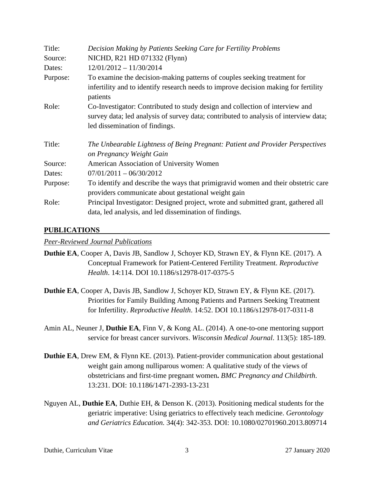| Title:   | Decision Making by Patients Seeking Care for Fertility Problems                                                                                                                                        |
|----------|--------------------------------------------------------------------------------------------------------------------------------------------------------------------------------------------------------|
| Source:  | NICHD, R21 HD 071332 (Flynn)                                                                                                                                                                           |
| Dates:   | $12/01/2012 - 11/30/2014$                                                                                                                                                                              |
| Purpose: | To examine the decision-making patterns of couples seeking treatment for                                                                                                                               |
|          | infertility and to identify research needs to improve decision making for fertility<br>patients                                                                                                        |
| Role:    | Co-Investigator: Contributed to study design and collection of interview and<br>survey data; led analysis of survey data; contributed to analysis of interview data;<br>led dissemination of findings. |
|          |                                                                                                                                                                                                        |
| Title:   | The Unbearable Lightness of Being Pregnant: Patient and Provider Perspectives<br>on Pregnancy Weight Gain                                                                                              |
| Source:  | American Association of University Women                                                                                                                                                               |
| Dates:   | $07/01/2011 - 06/30/2012$                                                                                                                                                                              |
| Purpose: | To identify and describe the ways that primigravid women and their obstetric care<br>providers communicate about gestational weight gain                                                               |
| Role:    | Principal Investigator: Designed project, wrote and submitted grant, gathered all<br>data, led analysis, and led dissemination of findings.                                                            |

## **PUBLICATIONS**

*Peer-Reviewed Journal Publications*

- **Duthie EA**, Cooper A, Davis JB, Sandlow J, Schoyer KD, Strawn EY, & Flynn KE. (2017). A Conceptual Framework for Patient-Centered Fertility Treatment. *Reproductive Health*. 14:114. DOI 10.1186/s12978-017-0375-5
- **Duthie EA**, Cooper A, Davis JB, Sandlow J, Schoyer KD, Strawn EY, & Flynn KE. (2017). Priorities for Family Building Among Patients and Partners Seeking Treatment for Infertility. *Reproductive Health*. 14:52. DOI 10.1186/s12978-017-0311-8
- Amin AL, Neuner J, **Duthie EA**, Finn V, & Kong AL. (2014). A one-to-one mentoring support service for breast cancer survivors. *Wisconsin Medical Journal*. 113(5): 185-189.
- **Duthie EA**, Drew EM, & Flynn KE. (2013). Patient-provider communication about gestational weight gain among nulliparous women: A qualitative study of the views of obstetricians and first-time pregnant women**.** *BMC Pregnancy and Childbirth*. 13:231. DOI: 10.1186/1471-2393-13-231
- Nguyen AL, **Duthie EA**, Duthie EH, & Denson K. (2013). Positioning medical students for the geriatric imperative: Using geriatrics to effectively teach medicine. *Gerontology and Geriatrics Education.* 34(4): 342-353. DOI: 10.1080/02701960.2013.809714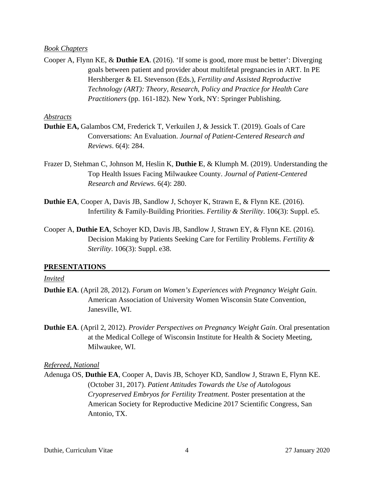#### *Book Chapters*

Cooper A, Flynn KE, & **Duthie EA**. (2016). 'If some is good, more must be better': Diverging goals between patient and provider about multifetal pregnancies in ART. In PE Hershberger & EL Stevenson (Eds.), *Fertility and Assisted Reproductive Technology (ART): Theory, Research, Policy and Practice for Health Care Practitioners* (pp. 161-182). New York, NY: Springer Publishing.

#### *Abstracts*

- **Duthie EA,** Galambos CM, Frederick T, Verkuilen J, & Jessick T. (2019). Goals of Care Conversations: An Evaluation. *Journal of Patient-Centered Research and Reviews*. 6(4): 284.
- Frazer D, Stehman C, Johnson M, Heslin K, **Duthie E**, & Klumph M. (2019). Understanding the Top Health Issues Facing Milwaukee County. *Journal of Patient-Centered Research and Reviews*. 6(4): 280.
- **Duthie EA**, Cooper A, Davis JB, Sandlow J, Schoyer K, Strawn E, & Flynn KE. (2016). Infertility & Family-Building Priorities. *Fertility & Sterility*. 106(3): Suppl. e5.
- Cooper A, **Duthie EA**, Schoyer KD, Davis JB, Sandlow J, Strawn EY, & Flynn KE. (2016). Decision Making by Patients Seeking Care for Fertility Problems. *Fertility & Sterility*. 106(3): Suppl. e38.

### **PRESENTATIONS**

#### *Invited*

- **Duthie EA**. (April 28, 2012). *Forum on Women's Experiences with Pregnancy Weight Gain*. American Association of University Women Wisconsin State Convention, Janesville, WI.
- **Duthie EA**. (April 2, 2012). *Provider Perspectives on Pregnancy Weight Gain*. Oral presentation at the Medical College of Wisconsin Institute for Health & Society Meeting, Milwaukee, WI.

#### *Refereed, National*

Adenuga OS, **Duthie EA**, Cooper A, Davis JB, Schoyer KD, Sandlow J, Strawn E, Flynn KE. (October 31, 2017). *Patient Attitudes Towards the Use of Autologous Cryopreserved Embryos for Fertility Treatment*. Poster presentation at the American Society for Reproductive Medicine 2017 Scientific Congress, San Antonio, TX.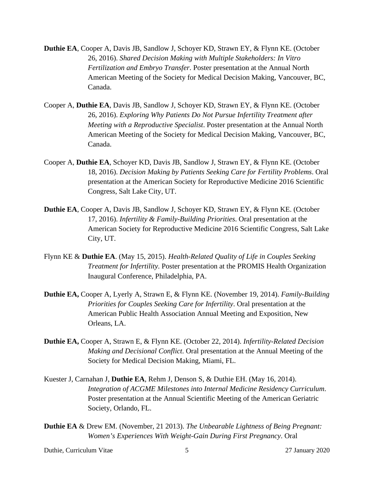- **Duthie EA**, Cooper A, Davis JB, Sandlow J, Schoyer KD, Strawn EY, & Flynn KE. (October 26, 2016). *Shared Decision Making with Multiple Stakeholders: In Vitro Fertilization and Embryo Transfer*. Poster presentation at the Annual North American Meeting of the Society for Medical Decision Making, Vancouver, BC, Canada.
- Cooper A, **Duthie EA**, Davis JB, Sandlow J, Schoyer KD, Strawn EY, & Flynn KE. (October 26, 2016). *Exploring Why Patients Do Not Pursue Infertility Treatment after Meeting with a Reproductive Specialist*. Poster presentation at the Annual North American Meeting of the Society for Medical Decision Making, Vancouver, BC, Canada.
- Cooper A, **Duthie EA**, Schoyer KD, Davis JB, Sandlow J, Strawn EY, & Flynn KE. (October 18, 2016). *Decision Making by Patients Seeking Care for Fertility Problems*. Oral presentation at the American Society for Reproductive Medicine 2016 Scientific Congress, Salt Lake City, UT.
- **Duthie EA**, Cooper A, Davis JB, Sandlow J, Schoyer KD, Strawn EY, & Flynn KE. (October 17, 2016). *Infertility & Family-Building Priorities*. Oral presentation at the American Society for Reproductive Medicine 2016 Scientific Congress, Salt Lake City, UT.
- Flynn KE & **Duthie EA**. (May 15, 2015). *Health-Related Quality of Life in Couples Seeking Treatment for Infertility*. Poster presentation at the PROMIS Health Organization Inaugural Conference, Philadelphia, PA.
- **Duthie EA,** Cooper A, Lyerly A, Strawn E, & Flynn KE. (November 19, 2014). *Family-Building Priorities for Couples Seeking Care for Infertility*. Oral presentation at the American Public Health Association Annual Meeting and Exposition, New Orleans, LA.
- **Duthie EA,** Cooper A, Strawn E, & Flynn KE. (October 22, 2014). *Infertility-Related Decision Making and Decisional Conflict*. Oral presentation at the Annual Meeting of the Society for Medical Decision Making, Miami, FL.
- Kuester J, Carnahan J, **Duthie EA**, Rehm J, Denson S, & Duthie EH. (May 16, 2014). *Integration of ACGME Milestones into Internal Medicine Residency Curriculum*. Poster presentation at the Annual Scientific Meeting of the American Geriatric Society, Orlando, FL.
- **Duthie EA** & Drew EM. (November, 21 2013). *The Unbearable Lightness of Being Pregnant: Women's Experiences With Weight-Gain During First Pregnancy*. Oral

Duthie, Curriculum Vitae 5 27 January 2020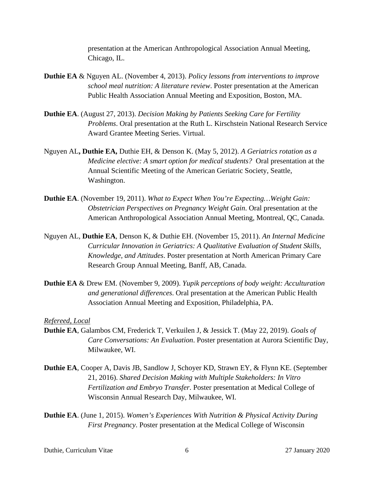presentation at the American Anthropological Association Annual Meeting, Chicago, IL.

- **Duthie EA** & Nguyen AL. (November 4, 2013). *Policy lessons from interventions to improve school meal nutrition: A literature review*. Poster presentation at the American Public Health Association Annual Meeting and Exposition, Boston, MA.
- **Duthie EA**. (August 27, 2013). *Decision Making by Patients Seeking Care for Fertility Problems*. Oral presentation at the Ruth L. Kirschstein National Research Service Award Grantee Meeting Series. Virtual.
- Nguyen AL**, Duthie EA,** Duthie EH, & Denson K. (May 5, 2012). *A Geriatrics rotation as a Medicine elective: A smart option for medical students?* Oral presentation at the Annual Scientific Meeting of the American Geriatric Society, Seattle, Washington.
- **Duthie EA**. (November 19, 2011). *What to Expect When You're Expecting…Weight Gain: Obstetrician Perspectives on Pregnancy Weight Gain*. Oral presentation at the American Anthropological Association Annual Meeting, Montreal, QC, Canada.
- Nguyen AL, **Duthie EA**, Denson K, & Duthie EH. (November 15, 2011). *An Internal Medicine Curricular Innovation in Geriatrics: A Qualitative Evaluation of Student Skills, Knowledge, and Attitudes*. Poster presentation at North American Primary Care Research Group Annual Meeting, Banff, AB, Canada.
- **Duthie EA** & Drew EM. (November 9, 2009). *Yupik perceptions of body weight: Acculturation and generational differences*. Oral presentation at the American Public Health Association Annual Meeting and Exposition, Philadelphia, PA.

*Refereed, Local*

- **Duthie EA**, Galambos CM, Frederick T, Verkuilen J, & Jessick T. (May 22, 2019). *Goals of Care Conversations: An Evaluation*. Poster presentation at Aurora Scientific Day, Milwaukee, WI.
- **Duthie EA**, Cooper A, Davis JB, Sandlow J, Schoyer KD, Strawn EY, & Flynn KE. (September 21, 2016). *Shared Decision Making with Multiple Stakeholders: In Vitro Fertilization and Embryo Transfer*. Poster presentation at Medical College of Wisconsin Annual Research Day, Milwaukee, WI.
- **Duthie EA**. (June 1, 2015). *Women's Experiences With Nutrition & Physical Activity During First Pregnancy*. Poster presentation at the Medical College of Wisconsin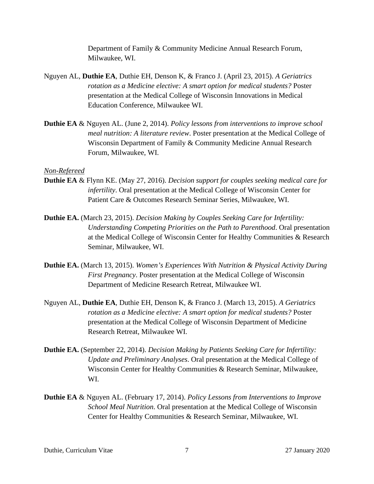Department of Family & Community Medicine Annual Research Forum, Milwaukee, WI.

- Nguyen AL, **Duthie EA**, Duthie EH, Denson K, & Franco J. (April 23, 2015). *A Geriatrics rotation as a Medicine elective: A smart option for medical students?* Poster presentation at the Medical College of Wisconsin Innovations in Medical Education Conference, Milwaukee WI.
- **Duthie EA** & Nguyen AL. (June 2, 2014). *Policy lessons from interventions to improve school meal nutrition: A literature review*. Poster presentation at the Medical College of Wisconsin Department of Family & Community Medicine Annual Research Forum, Milwaukee, WI.

#### *Non-Refereed*

- **Duthie EA** & Flynn KE. (May 27, 2016). *Decision support for couples seeking medical care for infertility*. Oral presentation at the Medical College of Wisconsin Center for Patient Care & Outcomes Research Seminar Series, Milwaukee, WI.
- **Duthie EA.** (March 23, 2015). *Decision Making by Couples Seeking Care for Infertility: Understanding Competing Priorities on the Path to Parenthood*. Oral presentation at the Medical College of Wisconsin Center for Healthy Communities & Research Seminar, Milwaukee, WI.
- **Duthie EA.** (March 13, 2015). *Women's Experiences With Nutrition & Physical Activity During First Pregnancy*. Poster presentation at the Medical College of Wisconsin Department of Medicine Research Retreat, Milwaukee WI.
- Nguyen AL, **Duthie EA**, Duthie EH, Denson K, & Franco J. (March 13, 2015). *A Geriatrics rotation as a Medicine elective: A smart option for medical students?* Poster presentation at the Medical College of Wisconsin Department of Medicine Research Retreat, Milwaukee WI.
- **Duthie EA.** (September 22, 2014). *Decision Making by Patients Seeking Care for Infertility: Update and Preliminary Analyses*. Oral presentation at the Medical College of Wisconsin Center for Healthy Communities & Research Seminar, Milwaukee, WI.
- **Duthie EA** & Nguyen AL. (February 17, 2014). *Policy Lessons from Interventions to Improve School Meal Nutrition*. Oral presentation at the Medical College of Wisconsin Center for Healthy Communities & Research Seminar, Milwaukee, WI.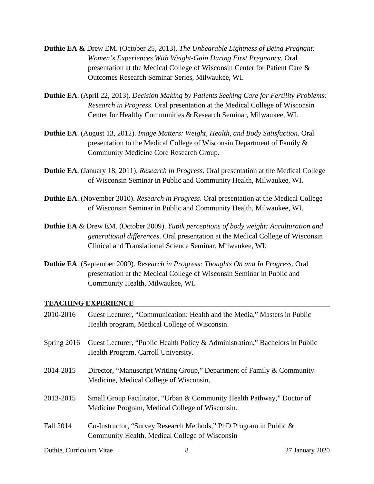- **Duthie EA &** Drew EM. (October 25, 2013). *The Unbearable Lightness of Being Pregnant: Women's Experiences With Weight-Gain During First Pregnancy*. Oral presentation at the Medical College of Wisconsin Center for Patient Care & Outcomes Research Seminar Series, Milwaukee, WI.
- **Duthie EA**. (April 22, 2013). *Decision Making by Patients Seeking Care for Fertility Problems: Research in Progress*. Oral presentation at the Medical College of Wisconsin Center for Healthy Communities & Research Seminar, Milwaukee, WI.
- **Duthie EA**. (August 13, 2012). *Image Matters: Weight, Health, and Body Satisfaction*. Oral presentation to the Medical College of Wisconsin Department of Family & Community Medicine Core Research Group.
- **Duthie EA**. (January 18, 2011). *Research in Progress*. Oral presentation at the Medical College of Wisconsin Seminar in Public and Community Health, Milwaukee, WI.
- **Duthie EA**. (November 2010). *Research in Progress*. Oral presentation at the Medical College of Wisconsin Seminar in Public and Community Health, Milwaukee, WI.
- **Duthie EA** & Drew EM. (October 2009). *Yupik perceptions of body weight: Acculturation and generational differences*. Oral presentation at the Medical College of Wisconsin Clinical and Translational Science Seminar, Milwaukee, WI.
- **Duthie EA**. (September 2009). *Research in Progress: Thoughts On and In Progress*. Oral presentation at the Medical College of Wisconsin Seminar in Public and Community Health, Milwaukee, WI.

### **TEACHING EXPERIENCE**

| 2010-2016     | Guest Lecturer, "Communication: Health and the Media," Masters in Public<br>Health program, Medical College of Wisconsin. |
|---------------|---------------------------------------------------------------------------------------------------------------------------|
| Spring $2016$ | Guest Lecturer, "Public Health Policy & Administration," Bachelors in Public<br>Health Program, Carroll University.       |
| 2014-2015     | Director, "Manuscript Writing Group," Department of Family & Community<br>Medicine, Medical College of Wisconsin.         |
| 2013-2015     | Small Group Facilitator, "Urban & Community Health Pathway," Doctor of<br>Medicine Program, Medical College of Wisconsin. |
| Fall 2014     | Co-Instructor, "Survey Research Methods," PhD Program in Public &<br>Community Health, Medical College of Wisconsin       |

Duthie, Curriculum Vitae 8 27 January 2020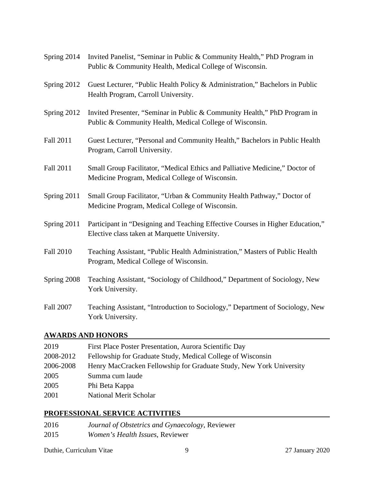| Spring 2014      | Invited Panelist, "Seminar in Public & Community Health," PhD Program in<br>Public & Community Health, Medical College of Wisconsin.  |
|------------------|---------------------------------------------------------------------------------------------------------------------------------------|
| Spring 2012      | Guest Lecturer, "Public Health Policy & Administration," Bachelors in Public<br>Health Program, Carroll University.                   |
| Spring 2012      | Invited Presenter, "Seminar in Public & Community Health," PhD Program in<br>Public & Community Health, Medical College of Wisconsin. |
| <b>Fall 2011</b> | Guest Lecturer, "Personal and Community Health," Bachelors in Public Health<br>Program, Carroll University.                           |
| <b>Fall 2011</b> | Small Group Facilitator, "Medical Ethics and Palliative Medicine," Doctor of<br>Medicine Program, Medical College of Wisconsin.       |
| Spring 2011      | Small Group Facilitator, "Urban & Community Health Pathway," Doctor of<br>Medicine Program, Medical College of Wisconsin.             |
| Spring 2011      | Participant in "Designing and Teaching Effective Courses in Higher Education,"<br>Elective class taken at Marquette University.       |
| <b>Fall 2010</b> | Teaching Assistant, "Public Health Administration," Masters of Public Health<br>Program, Medical College of Wisconsin.                |
| Spring 2008      | Teaching Assistant, "Sociology of Childhood," Department of Sociology, New<br>York University.                                        |
| <b>Fall 2007</b> | Teaching Assistant, "Introduction to Sociology," Department of Sociology, New<br>York University.                                     |

# **AWARDS AND HONORS**

| 2019      | First Place Poster Presentation, Aurora Scientific Day              |
|-----------|---------------------------------------------------------------------|
| 2008-2012 | Fellowship for Graduate Study, Medical College of Wisconsin         |
| 2006-2008 | Henry MacCracken Fellowship for Graduate Study, New York University |
| 2005      | Summa cum laude                                                     |
| 2005      | Phi Beta Kappa                                                      |
| 2001      | <b>National Merit Scholar</b>                                       |

# **PROFESSIONAL SERVICE ACTIVITIES**

| 2016 | Journal of Obstetrics and Gynaecology, Reviewer |
|------|-------------------------------------------------|
| 2015 | <i>Women's Health Issues, Reviewer</i>          |

Duthie, Curriculum Vitae 9 27 January 2020